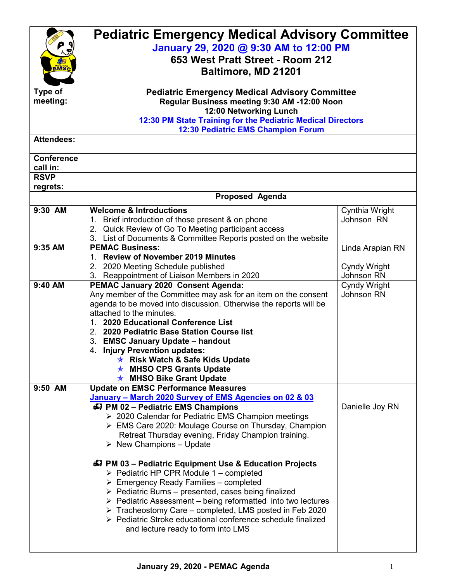|                   | <b>Pediatric Emergency Medical Advisory Committee</b>                                        |                            |  |  |
|-------------------|----------------------------------------------------------------------------------------------|----------------------------|--|--|
|                   | January 29, 2020 @ 9:30 AM to 12:00 PM                                                       |                            |  |  |
|                   | 653 West Pratt Street - Room 212                                                             |                            |  |  |
|                   |                                                                                              |                            |  |  |
|                   | Baltimore, MD 21201                                                                          |                            |  |  |
| Type of           | <b>Pediatric Emergency Medical Advisory Committee</b>                                        |                            |  |  |
| meeting:          | Regular Business meeting 9:30 AM -12:00 Noon                                                 |                            |  |  |
|                   | 12:00 Networking Lunch                                                                       |                            |  |  |
|                   | 12:30 PM State Training for the Pediatric Medical Directors                                  |                            |  |  |
|                   | 12:30 Pediatric EMS Champion Forum                                                           |                            |  |  |
| <b>Attendees:</b> |                                                                                              |                            |  |  |
| <b>Conference</b> |                                                                                              |                            |  |  |
| call in:          |                                                                                              |                            |  |  |
| <b>RSVP</b>       |                                                                                              |                            |  |  |
| regrets:          |                                                                                              |                            |  |  |
|                   | <b>Proposed Agenda</b>                                                                       |                            |  |  |
| 9:30 AM           | <b>Welcome &amp; Introductions</b>                                                           | Cynthia Wright             |  |  |
|                   | 1. Brief introduction of those present & on phone                                            | Johnson RN                 |  |  |
|                   | 2. Quick Review of Go To Meeting participant access                                          |                            |  |  |
|                   | 3. List of Documents & Committee Reports posted on the website                               |                            |  |  |
| 9:35 AM           | <b>PEMAC Business:</b>                                                                       | Linda Arapian RN           |  |  |
|                   | 1. Review of November 2019 Minutes                                                           |                            |  |  |
|                   | 2. 2020 Meeting Schedule published<br>3. Reappointment of Liaison Members in 2020            | Cyndy Wright<br>Johnson RN |  |  |
| 9:40 AM           | PEMAC January 2020 Consent Agenda:                                                           | Cyndy Wright               |  |  |
|                   | Any member of the Committee may ask for an item on the consent                               | Johnson RN                 |  |  |
|                   | agenda to be moved into discussion. Otherwise the reports will be                            |                            |  |  |
|                   | attached to the minutes.                                                                     |                            |  |  |
|                   | 1. 2020 Educational Conference List                                                          |                            |  |  |
|                   | 2. 2020 Pediatric Base Station Course list                                                   |                            |  |  |
|                   | 3. EMSC January Update - handout                                                             |                            |  |  |
|                   | 4. Injury Prevention updates:                                                                |                            |  |  |
|                   | <b>★ Risk Watch &amp; Safe Kids Update</b>                                                   |                            |  |  |
|                   | <b>★ MHSO CPS Grants Update</b>                                                              |                            |  |  |
|                   | <b>★ MHSO Bike Grant Update</b>                                                              |                            |  |  |
| 9:50 AM           | <b>Update on EMSC Performance Measures</b>                                                   |                            |  |  |
|                   | January - March 2020 Survey of EMS Agencies on 02 & 03<br>47 PM 02 - Pediatric EMS Champions | Danielle Joy RN            |  |  |
|                   | > 2020 Calendar for Pediatric EMS Champion meetings                                          |                            |  |  |
|                   | > EMS Care 2020: Moulage Course on Thursday, Champion                                        |                            |  |  |
|                   | Retreat Thursday evening, Friday Champion training.                                          |                            |  |  |
|                   | $\triangleright$ New Champions – Update                                                      |                            |  |  |
|                   |                                                                                              |                            |  |  |
|                   | 47 PM 03 - Pediatric Equipment Use & Education Projects                                      |                            |  |  |
|                   | $\triangleright$ Pediatric HP CPR Module 1 – completed                                       |                            |  |  |
|                   | $\triangleright$ Emergency Ready Families – completed                                        |                            |  |  |
|                   | $\triangleright$ Pediatric Burns – presented, cases being finalized                          |                            |  |  |
|                   | $\triangleright$ Pediatric Assessment – being reformatted into two lectures                  |                            |  |  |
|                   | $\triangleright$ Tracheostomy Care – completed, LMS posted in Feb 2020                       |                            |  |  |
|                   | ▶ Pediatric Stroke educational conference schedule finalized                                 |                            |  |  |
|                   | and lecture ready to form into LMS                                                           |                            |  |  |
|                   |                                                                                              |                            |  |  |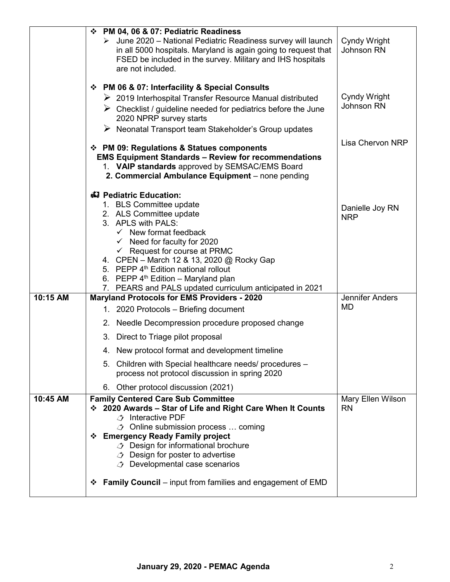|          | ❖ PM 04, 06 & 07: Pediatric Readiness<br>$\triangleright$ June 2020 – National Pediatric Readiness survey will launch<br>in all 5000 hospitals. Maryland is again going to request that<br>FSED be included in the survey. Military and IHS hospitals<br>are not included.<br>❖ PM 06 & 07: Interfacility & Special Consults<br>$\triangleright$ 2019 Interhospital Transfer Resource Manual distributed<br>$\triangleright$ Checklist / guideline needed for pediatrics before the June<br>2020 NPRP survey starts<br>$\triangleright$ Neonatal Transport team Stakeholder's Group updates | Cyndy Wright<br>Johnson RN<br>Cyndy Wright<br>Johnson RN<br>Lisa Chervon NRP |
|----------|---------------------------------------------------------------------------------------------------------------------------------------------------------------------------------------------------------------------------------------------------------------------------------------------------------------------------------------------------------------------------------------------------------------------------------------------------------------------------------------------------------------------------------------------------------------------------------------------|------------------------------------------------------------------------------|
|          | ❖ PM 09: Regulations & Statues components<br><b>EMS Equipment Standards - Review for recommendations</b><br>1. VAIP standards approved by SEMSAC/EMS Board<br>2. Commercial Ambulance Equipment - none pending                                                                                                                                                                                                                                                                                                                                                                              |                                                                              |
|          | 43 Pediatric Education:<br>1. BLS Committee update<br>2. ALS Committee update<br>3. APLS with PALS:<br>$\checkmark$ New format feedback<br>$\checkmark$ Need for faculty for 2020<br>$\checkmark$ Request for course at PRMC<br>4. CPEN - March 12 & 13, 2020 @ Rocky Gap<br>5. PEPP 4 <sup>th</sup> Edition national rollout<br>6. PEPP 4 <sup>th</sup> Edition - Maryland plan<br>7. PEARS and PALS updated curriculum anticipated in 2021                                                                                                                                                | Danielle Joy RN<br><b>NRP</b>                                                |
| 10:15 AM | <b>Maryland Protocols for EMS Providers - 2020</b><br>1. 2020 Protocols – Briefing document                                                                                                                                                                                                                                                                                                                                                                                                                                                                                                 | <b>Jennifer Anders</b><br>MD                                                 |
|          | Needle Decompression procedure proposed change<br>2.                                                                                                                                                                                                                                                                                                                                                                                                                                                                                                                                        |                                                                              |
|          | 3. Direct to Triage pilot proposal<br>4. New protocol format and development timeline                                                                                                                                                                                                                                                                                                                                                                                                                                                                                                       |                                                                              |
|          | 5. Children with Special healthcare needs/ procedures -<br>process not protocol discussion in spring 2020                                                                                                                                                                                                                                                                                                                                                                                                                                                                                   |                                                                              |
|          | 6. Other protocol discussion (2021)                                                                                                                                                                                                                                                                                                                                                                                                                                                                                                                                                         |                                                                              |
| 10:45 AM | <b>Family Centered Care Sub Committee</b><br>❖ 2020 Awards – Star of Life and Right Care When It Counts<br>$\rightarrow$ Interactive PDF<br>$\circled{1}$ Online submission process  coming<br>❖ Emergency Ready Family project<br><b><i><math>\rightarrow</math></i></b> Design for informational brochure<br><b><i><math>\rightarrow</math></i></b> Design for poster to advertise<br><b><i><math>\rightarrow</math></i></b> Developmental case scenarios                                                                                                                                 | Mary Ellen Wilson<br><b>RN</b>                                               |
|          | <b>Family Council</b> – input from families and engagement of EMD<br>❖                                                                                                                                                                                                                                                                                                                                                                                                                                                                                                                      |                                                                              |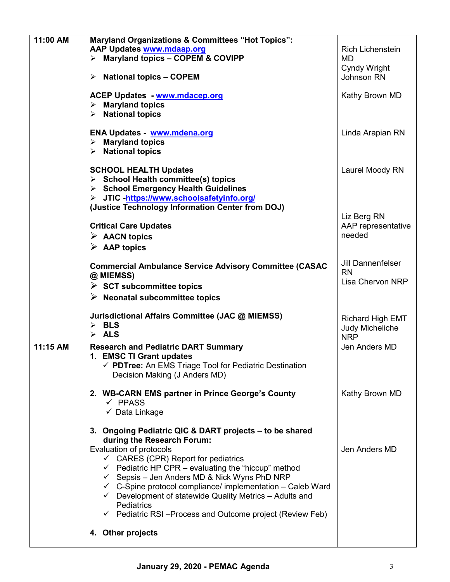| 11:00 AM | <b>Maryland Organizations &amp; Committees "Hot Topics":</b><br>AAP Updates www.mdaap.org<br>$\triangleright$ Maryland topics - COPEM & COVIPP<br>$\triangleright$ National topics - COPEM<br><b>ACEP Updates - www.mdacep.org</b><br>$\triangleright$ Maryland topics<br>$\triangleright$ National topics                                                                                                                                                                                                                      | <b>Rich Lichenstein</b><br>MD<br>Cyndy Wright<br>Johnson RN<br>Kathy Brown MD |
|----------|---------------------------------------------------------------------------------------------------------------------------------------------------------------------------------------------------------------------------------------------------------------------------------------------------------------------------------------------------------------------------------------------------------------------------------------------------------------------------------------------------------------------------------|-------------------------------------------------------------------------------|
|          | <b>ENA Updates - www.mdena.org</b><br>$\triangleright$ Maryland topics<br>$\triangleright$ National topics                                                                                                                                                                                                                                                                                                                                                                                                                      | Linda Arapian RN                                                              |
|          | <b>SCHOOL HEALTH Updates</b><br>$\triangleright$ School Health committee(s) topics<br>> School Emergency Health Guidelines<br>> JTIC -https://www.schoolsafetyinfo.org/                                                                                                                                                                                                                                                                                                                                                         | Laurel Moody RN                                                               |
|          | (Justice Technology Information Center from DOJ)<br><b>Critical Care Updates</b><br>$\triangleright$ AACN topics<br>$\triangleright$ AAP topics                                                                                                                                                                                                                                                                                                                                                                                 | Liz Berg RN<br>AAP representative<br>needed                                   |
|          | <b>Commercial Ambulance Service Advisory Committee (CASAC</b><br>@ MIEMSS)<br>$\triangleright$ SCT subcommittee topics<br>$\triangleright$ Neonatal subcommittee topics                                                                                                                                                                                                                                                                                                                                                         | <b>Jill Dannenfelser</b><br><b>RN</b><br>Lisa Chervon NRP                     |
|          | Jurisdictional Affairs Committee (JAC @ MIEMSS)<br>$\triangleright$ BLS<br>$\triangleright$ ALS                                                                                                                                                                                                                                                                                                                                                                                                                                 | <b>Richard High EMT</b><br>Judy Micheliche<br><b>NRP</b>                      |
| 11:15 AM | <b>Research and Pediatric DART Summary</b><br>1. EMSC TI Grant updates<br>√ PDTree: An EMS Triage Tool for Pediatric Destination<br>Decision Making (J Anders MD)                                                                                                                                                                                                                                                                                                                                                               | Jen Anders MD                                                                 |
|          | 2. WB-CARN EMS partner in Prince George's County<br>$\checkmark$ PPASS<br>✓ Data Linkage                                                                                                                                                                                                                                                                                                                                                                                                                                        | Kathy Brown MD                                                                |
|          | 3. Ongoing Pediatric QIC & DART projects – to be shared<br>during the Research Forum:<br>Evaluation of protocols<br>$\checkmark$ CARES (CPR) Report for pediatrics<br>$\checkmark$ Pediatric HP CPR – evaluating the "hiccup" method<br>← Sepsis – Jen Anders MD & Nick Wyns PhD NRP<br>$\checkmark$ C-Spine protocol compliance/ implementation – Caleb Ward<br>$\checkmark$ Development of statewide Quality Metrics - Adults and<br><b>Pediatrics</b><br>$\checkmark$ Pediatric RSI-Process and Outcome project (Review Feb) | Jen Anders MD                                                                 |
|          | 4. Other projects                                                                                                                                                                                                                                                                                                                                                                                                                                                                                                               |                                                                               |